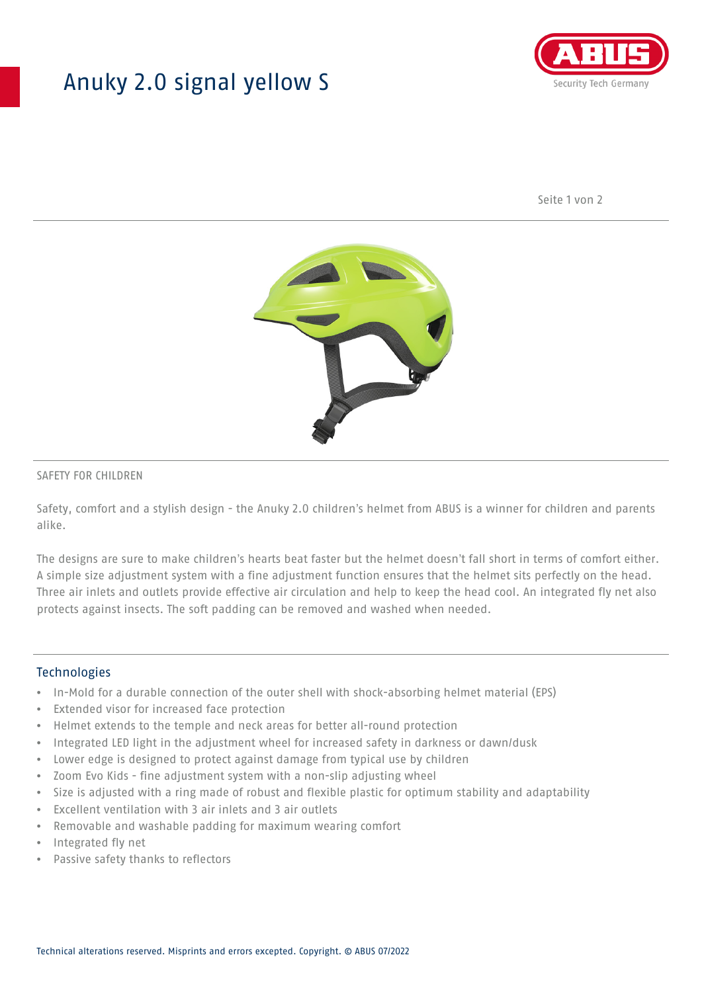# Anuky 2.0 signal yellow S



Seite 1 von 2



### SAFETY FOR CHILDREN

Safety, comfort and a stylish design - the Anuky 2.0 children's helmet from ABUS is a winner for children and parents alike.

The designs are sure to make children's hearts beat faster but the helmet doesn't fall short in terms of comfort either. A simple size adjustment system with a fine adjustment function ensures that the helmet sits perfectly on the head. Three air inlets and outlets provide effective air circulation and help to keep the head cool. An integrated fly net also protects against insects. The soft padding can be removed and washed when needed.

### **Technologies**

- In-Mold for a durable connection of the outer shell with shock-absorbing helmet material (EPS)
- Extended visor for increased face protection
- Helmet extends to the temple and neck areas for better all-round protection
- Integrated LED light in the adjustment wheel for increased safety in darkness or dawn/dusk
- Lower edge is designed to protect against damage from typical use by children
- Zoom Evo Kids fine adjustment system with a non-slip adjusting wheel
- Size is adjusted with a ring made of robust and flexible plastic for optimum stability and adaptability
- Excellent ventilation with 3 air inlets and 3 air outlets
- Removable and washable padding for maximum wearing comfort
- Integrated fly net
- Passive safety thanks to reflectors